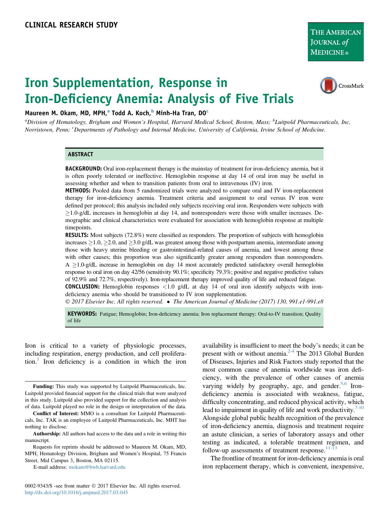# Iron Supplementation, Response in Iron-Deficiency Anemia: Analysis of Five Trials



Maureen M. Okam, MD, MPH,<sup>a</sup> Todd A. Koch,<sup>b</sup> Minh-Ha Tran, DO<sup>c</sup>

<sup>a</sup>Division of Hematology, Brigham and Women's Hospital, Harvard Medical School, Boston, Mass; <sup>b</sup>Luitpold Pharmaceuticals, Inc, Norristown, Penn; <sup>c</sup>Departments of Pathology and Internal Medicine, University of California, Irvine School of Medicine.

#### ABSTRACT

BACKGROUND: Oral iron-replacement therapy is the mainstay of treatment for iron-deficiency anemia, but it is often poorly tolerated or ineffective. Hemoglobin response at day 14 of oral iron may be useful in assessing whether and when to transition patients from oral to intravenous (IV) iron.

METHODS: Pooled data from 5 randomized trials were analyzed to compare oral and IV iron-replacement therapy for iron-deficiency anemia. Treatment criteria and assignment to oral versus IV iron were defined per protocol; this analysis included only subjects receiving oral iron. Responders were subjects with  $\geq$ 1.0-g/dL increases in hemoglobin at day 14, and nonresponders were those with smaller increases. Demographic and clinical characteristics were evaluated for association with hemoglobin response at multiple timepoints.

RESULTS: Most subjects (72.8%) were classified as responders. The proportion of subjects with hemoglobin increases  $\geq$  1.0,  $\geq$  2.0, and  $\geq$  3.0 g/dL was greatest among those with postpartum anemia, intermediate among those with heavy uterine bleeding or gastrointestinal-related causes of anemia, and lowest among those with other causes; this proportion was also significantly greater among responders than nonresponders.  $A \geq 1.0$ -g/dL increase in hemoglobin on day 14 most accurately predicted satisfactory overall hemoglobin response to oral iron on day 42/56 (sensitivity 90.1%; specificity 79.3%; positive and negative predictive values of 92.9% and 72.7%, respectively). Iron-replacement therapy improved quality of life and reduced fatigue.

**CONCLUSION:** Hemoglobin responses  $\langle 1.0 \rangle$  g/dL at day 14 of oral iron identify subjects with irondeficiency anemia who should be transitioned to IV iron supplementation.

2017 Elsevier Inc. All rights reserved. The American Journal of Medicine (2017) 130, 991.e1-991.e8

KEYWORDS: Fatigue; Hemoglobin; Iron-deficiency anemia; Iron replacement therapy; Oral-to-IV transition; Quality of life

Iron is critical to a variety of physiologic processes, including respiration, energy production, and cell prolifera-tion.<sup>[1](#page-7-0)</sup> Iron deficiency is a condition in which the iron

0002-9343/\$ -see front matter  $\odot$  2017 Elsevier Inc. All rights reserved. <http://dx.doi.org/10.1016/j.amjmed.2017.03.045>

availability is insufficient to meet the body's needs; it can be present with or without anemia[.2-4](#page-7-0) The 2013 Global Burden of Diseases, Injuries and Risk Factors study reported that the most common cause of anemia worldwide was iron deficiency, with the prevalence of other causes of anemia varying widely by geography, age, and gender. $5,6$  Irondeficiency anemia is associated with weakness, fatigue, difficulty concentrating, and reduced physical activity, which lead to impairment in quality of life and work productivity. $7-10$ Alongside global public health recognition of the prevalence of iron-deficiency anemia, diagnosis and treatment require an astute clinician, a series of laboratory assays and other testing as indicated, a tolerable treatment regimen, and follow-up assessments of treatment response. $11-13$ 

The frontline of treatment for iron-deficiency anemia is oral iron replacement therapy, which is convenient, inexpensive,

Funding: This study was supported by Luitpold Pharmaceuticals, Inc. Luitpold provided financial support for the clinical trials that were analyzed in this study. Luitpold also provided support for the collection and analysis of data. Luitpold played no role in the design or interpretation of the data.

Conflict of Interest: MMO is a consultant for Luitpold Pharmaceuticals, Inc. TAK is an employee of Luitpold Pharmaceuticals, Inc. MHT has nothing to disclose.

Authorship: All authors had access to the data and a role in writing this manuscript.

Requests for reprints should be addressed to Maureen M. Okam, MD, MPH, Hematology Division, Brigham and Women's Hospital, 75 Francis Street, Mid Campus 3, Boston, MA 02115.

E-mail address: [mokam@bwh.harvard.edu](mailto:mokam@bwh.harvard.edu)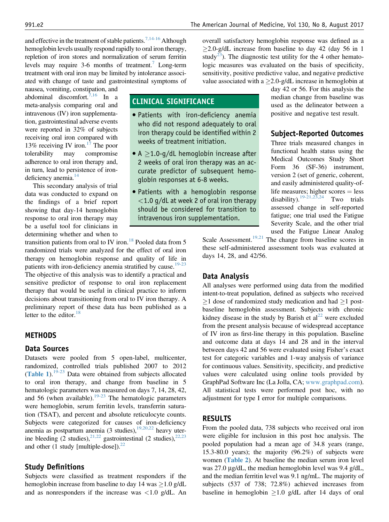and effective in the treatment of stable patients.<sup>7,14-16</sup> Although hemoglobin levels usually respond rapidly to oral iron therapy, repletion of iron stores and normalization of serum ferritin levels may require  $3-6$  months of treatment.<sup>7</sup> Long-term treatment with oral iron may be limited by intolerance associated with change of taste and gastrointestinal symptoms of

nausea, vomiting, constipation, and abdominal discomfort.<sup>7,16</sup> In a meta-analysis comparing oral and intravenous (IV) iron supplementation, gastrointestinal adverse events were reported in 32% of subjects receiving oral iron compared with 13% receiving IV iron.<sup>17</sup> The poor tolerability may compromise adherence to oral iron therapy and, in turn, lead to persistence of iron-deficiency anemia.<sup>[14](#page-7-0)</sup>

This secondary analysis of trial data was conducted to expand on the findings of a brief report showing that day-14 hemoglobin response to oral iron therapy may be a useful tool for clinicians in determining whether and when to

transition patients from oral to IV iron.<sup>[18](#page-7-0)</sup> Pooled data from  $5$ randomized trials were analyzed for the effect of oral iron therapy on hemoglobin response and quality of life in patients with iron-deficiency anemia stratified by cause.<sup>[19-23](#page-7-0)</sup> The objective of this analysis was to identify a practical and sensitive predictor of response to oral iron replacement therapy that would be useful in clinical practice to inform decisions about transitioning from oral to IV iron therapy. A preliminary report of these data has been published as a letter to the editor. $18$ 

## **METHODS**

#### Data Sources

Datasets were pooled from 5 open-label, multicenter, randomized, controlled trials published 2007 to 2012 ([Table 1](#page-2-0)).[19-23](#page-7-0) Data were obtained from subjects allocated to oral iron therapy, and change from baseline in 5 hematologic parameters was measured on days 7, 14, 28, 42, and 56 (when available). $19-23$  The hematologic parameters were hemoglobin, serum ferritin levels, transferrin saturation (TSAT), and percent and absolute reticulocyte counts. Subjects were categorized for causes of iron-deficiency anemia as postpartum anemia (3 studies), $19,20,22$  heavy uterine bleeding (2 studies),  $2^{1,22}$  gastrointestinal (2 studies),  $2^{2,23}$ and other (1 study [multiple-dose]). $^{22}$ 

## Study Definitions

Subjects were classified as treatment responders if the hemoglobin increase from baseline to day 14 was  $\geq$  1.0 g/dL and as nonresponders if the increase was  $\langle 1.0 \text{ g/dL} \rangle$ . An overall satisfactory hemoglobin response was defined as a  $\geq$ 2.0-g/dL increase from baseline to day 42 (day 56 in 1 study<sup>23</sup>). The diagnostic test utility for the 4 other hematologic measures was evaluated on the basis of specificity, sensitivity, positive predictive value, and negative predictive value associated with a  $\geq$  2.0-g/dL increase in hemoglobin at

CLINICAL SIGNIFICANCE

- Patients with iron-deficiency anemia who did not respond adequately to oral iron therapy could be identified within 2 weeks of treatment initiation.
- A  $\geq$ 1.0-g/dL hemoglobin increase after 2 weeks of oral iron therapy was an accurate predictor of subsequent hemoglobin responses at 6-8 weeks.
- Patients with a hemoglobin response  $<$ 1.0 g/dL at week 2 of oral iron therapy should be considered for transition to intravenous iron supplementation.

day 42 or 56. For this analysis the median change from baseline was used as the delineator between a positive and negative test result.

## Subject-Reported Outcomes

Three trials measured changes in functional health status using the Medical Outcomes Study Short Form 36 (SF-36) instrument, version 2 (set of generic, coherent, and easily administered quality-oflife measures; higher scores = less<br>disability).<sup>19-21,23,24</sup> Two trials disability).  $19-21,23,24$ assessed change in self-reported fatigue; one trial used the Fatigue Severity Scale, and the other trial used the Fatigue Linear Analog

Scale Assessment.<sup>[19,21](#page-7-0)</sup> The change from baseline scores in these self-administered assessment tools was evaluated at days 14, 28, and 42/56.

## Data Analysis

All analyses were performed using data from the modified intent-to-treat population, defined as subjects who received  $>1$  dose of randomized study medication and had  $>1$  postbaseline hemoglobin assessment. Subjects with chronic kidney disease in the study by Barish et  $al<sup>22</sup>$  $al<sup>22</sup>$  $al<sup>22</sup>$  were excluded from the present analysis because of widespread acceptance of IV iron as first-line therapy in this population. Baseline and outcome data at days 14 and 28 and in the interval between days 42 and 56 were evaluated using Fisher's exact test for categoric variables and 1-way analysis of variance for continuous values. Sensitivity, specificity, and predictive values were calculated using online tools provided by GraphPad Software Inc (La Jolla, CA; [www.graphpad.com](http://www.graphpad.com)). All statistical tests were performed post hoc, with no adjustment for type I error for multiple comparisons.

## RESULTS

From the pooled data, 738 subjects who received oral iron were eligible for inclusion in this post hoc analysis. The pooled population had a mean age of 34.8 years (range, 15.3-80.0 years); the majority (96.2%) of subjects were women ([Table 2](#page-3-0)). At baseline the median serum iron level was 27.0 µg/dL, the median hemoglobin level was 9.4 g/dL, and the median ferritin level was 9.1 ng/mL. The majority of subjects (537 of 738; 72.8%) achieved increases from baseline in hemoglobin  $\geq 1.0$  g/dL after 14 days of oral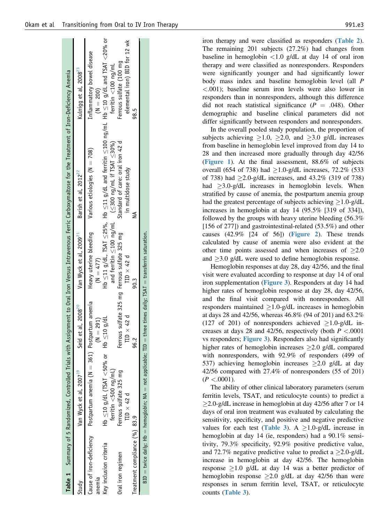iron therapy and were classified as responders ([Table 2](#page-3-0)). The remaining 201 subjects (27.2%) had changes from baseline in hemoglobin  $\langle 1.0 \rangle$  g/dL at day 14 of oral iron therapy and were classified as nonresponders. Responders were significantly younger and had significantly lower body mass index and baseline hemoglobin level (all P <.001); baseline serum iron levels were also lower in responders than in nonresponders, although this difference did not reach statistical significance ( $P = .048$ ). Other demographic and baseline clinical parameters did not differ significantly between responders and nonresponders.

In the overall pooled study population, the proportion of subjects achieving  $\geq 1.0$ ,  $\geq 2.0$ , and  $\geq 3.0$  g/dL increases from baseline in hemoglobin level improved from day 14 to 28 and then increased more gradually through day 42/56 ([Figure 1](#page-4-0)). At the final assessment, 88.6% of subjects overall (654 of 738) had  $\geq$ 1.0-g/dL increases, 72.2% (533 of 738) had  $\geq$  2.0-g/dL increases, and 43.2% (319 of 738) had  $\geq$ 3.0-g/dL increases in hemoglobin levels. When stratified by cause of anemia, the postpartum anemia group had the greatest percentage of subjects achieving  $>1.0-g/dL$ increases in hemoglobin at day 14 (95.5% [319 of 334]), followed by the groups with heavy uterine bleeding (56.3% [156 of 277]) and gastrointestinal-related (53.5%) and other causes  $(42.9\%$  [24 of 56]) (**[Figure 2](#page-4-0)**). These trends calculated by cause of anemia were also evident at the other time points assessed and when increases of  $\geq 2.0$ and  $\geq$ 3.0 g/dL were used to define hemoglobin response.

Hemoglobin responses at day 28, day 42/56, and the final visit were evaluated according to response at day 14 of oral iron supplementation ([Figure 3](#page-5-0)). Responders at day 14 had higher rates of hemoglobin response at day 28, day 42/56, and the final visit compared with nonresponders. All responders maintained  $\geq 1.0$ -g/dL increases in hemoglobin at days 28 and 42/56, whereas 46.8% (94 of 201) and 63.2% (127 of 201) of nonresponders achieved  $\geq$ 1.0-g/dL increases at days 28 and 42/56, respectively (both  $P < .0001$ ) vs responders; [Figure 3](#page-5-0)). Responders also had significantly higher rates of hemoglobin increases  $\geq 2.0$  g/dL compared with nonresponders, with 92.9% of responders (499 of 537) achieving hemoglobin increases  $\geq$ 2.0 g/dL at day 42/56 compared with 27.4% of nonresponders (55 of 201)  $(P < .0001)$ .

The ability of other clinical laboratory parameters (serum ferritin levels, TSAT, and reticulocyte counts) to predict a  $\geq$ 2.0-g/dL increase in hemoglobin at day 42/56 after 7 or 14 days of oral iron treatment was evaluated by calculating the sensitivity, specificity, and positive and negative predictive values for each test ([Table 3](#page-5-0)). A  $\geq$ 1.0-g/dL increase in hemoglobin at day 14 (ie, responders) had a 90.1% sensitivity, 79.3% specificity, 92.9% positive predictive value, and 72.7% negative predictive value to predict a  $\geq 2.0$ -g/dL increase in hemoglobin at day 42/56. The hemoglobin response  $\geq 1.0$  g/dL at day 14 was a better predictor of hemoglobin response  $\geq$  2.0 g/dL at day 42/56 than were responses in serum ferritin level, TSAT, or reticulocyte counts ([Table 3](#page-5-0)).

<span id="page-2-0"></span>

|                               |                                                                            |                                                                 |                                                   | Table 1 Summary of 5 Randomized, Controlled Trials with Assignment to Oral Iron Versus Intravenous Ferric Carboxymaltose for the Treatment of Iron-Deficiency Anemia |                                                          |
|-------------------------------|----------------------------------------------------------------------------|-----------------------------------------------------------------|---------------------------------------------------|----------------------------------------------------------------------------------------------------------------------------------------------------------------------|----------------------------------------------------------|
| Study                         | Van Wyck et al, 2007 <sup>19</sup>                                         | Seid et al, 2008 <sup>20</sup>                                  | Van Wyck et al, 2009 <sup>21</sup>                | Barish et al, 2012 <sup>22</sup>                                                                                                                                     | Kulnigg et al, 2008 <sup>23</sup>                        |
| anemia                        | Cause of iron-deficiency Postpartum anemia ( $N = 361$ ) Postpartum anemia | $= 291$                                                         | Heavy uterine bleeding<br>$(N = 477)$             | Various etiologies ( $N = 708$ )                                                                                                                                     | Inflammatory bowel disease<br>$(M = 200)$                |
| Key inclusion criteria        | Hb $≤$ 10 g/dL (TSAT <50% or Hb $≤$ 10 g/dL<br>ferritin <500 ng/mL)        |                                                                 |                                                   | Hb ≤11 g/dL, TSAT ≤25%, Hb ≤11 g/dL and ferritin ≤100 ng/mL Hb ≤10 g/dL and TSAT <20% or<br>and ferritin $\leq$ 100 ng/mL $( \leq$ 300 ng/mL if TSAT $\leq$ 30%)     | ferritin $<$ 100 ng/mL                                   |
| Oral iron regimen             | Ferrous sulfate 325 mg<br>TID $\times$ 42 d                                | Ferrous sulfate 325 mg Ferrous sulfate 325 mg<br>$D \times 42d$ | $TD \times 42 d$                                  | Standard of care: oral iron 42 d<br>in multidose study                                                                                                               | elemental iron) BID for 12 wk<br>Ferrous sulfate (100 mg |
| Treatment compliance (%) 83.9 |                                                                            | 96.2                                                            | 90.3                                              |                                                                                                                                                                      | 98.5                                                     |
|                               | $BID = twice daily$ ; Hb = hemoglobin; NA = not applicable; TID =          |                                                                 | three times daily; TSAT = transferrin saturation. |                                                                                                                                                                      |                                                          |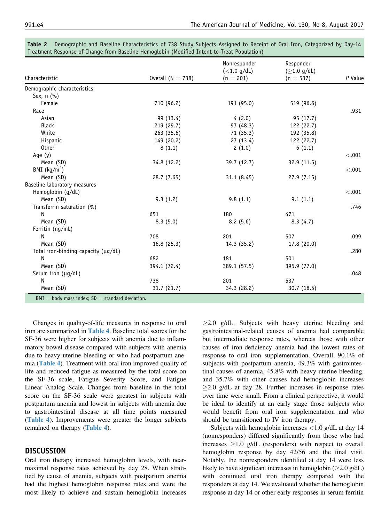|                                                      |                     | Nonresponder<br>$(<1.0$ g/dL) | Responder<br>$(ge1.0$ g/dL) |         |
|------------------------------------------------------|---------------------|-------------------------------|-----------------------------|---------|
| Characteristic                                       | Overall $(N = 738)$ | $(n = 201)$                   | $(n = 537)$                 | P Value |
| Demographic characteristics                          |                     |                               |                             |         |
| Sex, $n$ $(\% )$                                     |                     |                               |                             |         |
| Female                                               | 710 (96.2)          | 191 (95.0)                    | 519 (96.6)                  |         |
| Race                                                 |                     |                               |                             | .931    |
| Asian                                                | 99 (13.4)           | 4(2.0)                        | 95 (17.7)                   |         |
| <b>Black</b>                                         | 219 (29.7)          | 97 (48.3)                     | 122 (22.7)                  |         |
| White                                                | 263(35.6)           | 71 (35.3)                     | 192 (35.8)                  |         |
| Hispanic                                             | 149 (20.2)          | 27(13.4)                      | 122 (22.7)                  |         |
| <b>Other</b>                                         | 8(1.1)              | 2(1.0)                        | 6(1.1)                      |         |
| Age $(y)$                                            |                     |                               |                             | < .001  |
| Mean (SD)                                            | 34.8 (12.2)         | 39.7 (12.7)                   | 32.9 (11.5)                 |         |
| BMI $(kg/m2)$                                        |                     |                               |                             | $-.001$ |
| Mean (SD)                                            | 28.7 (7.65)         | 31.1(8.45)                    | 27.9(7.15)                  |         |
| Baseline laboratory measures                         |                     |                               |                             |         |
| Hemoglobin (g/dL)                                    |                     |                               |                             | < .001  |
| Mean (SD)                                            | 9.3(1.2)            | 9.8(1.1)                      | 9.1(1.1)                    |         |
| Transferrin saturation (%)                           |                     |                               |                             | .746    |
| N                                                    | 651                 | 180                           | 471                         |         |
| Mean (SD)                                            | 8.3(5.0)            | 8.2(5.6)                      | 8.3(4.7)                    |         |
| Ferritin (ng/mL)                                     |                     |                               |                             |         |
| N                                                    | 708                 | 201                           | 507                         | .099    |
| Mean (SD)                                            | 16.8(25.3)          | 14.3 (35.2)                   | 17.8 (20.0)                 |         |
| Total iron-binding capacity (µg/dL)                  |                     |                               |                             | .280    |
| Ν                                                    | 682                 | 181                           | 501                         |         |
| Mean (SD)                                            | 394.1 (72.4)        | 389.1 (57.5)                  | 395.9 (77.0)                |         |
| Serum iron (µg/dL)                                   |                     |                               |                             | .048    |
| N                                                    | 738                 | 201                           | 537                         |         |
| Mean (SD)                                            | 31.7(21.7)          | 34.3 (28.2)                   | 30.7 (18.5)                 |         |
| $BMI = body$ mass index; $SD = standard deviation$ . |                     |                               |                             |         |

<span id="page-3-0"></span>

| <b>Table 2</b> Demographic and Baseline Characteristics of 738 Study Subjects Assigned to Receipt of Oral Iron, Categorized by Day-14 |  |  |  |  |  |
|---------------------------------------------------------------------------------------------------------------------------------------|--|--|--|--|--|
| Treatment Response of Change from Baseline Hemoglobin (Modified Intent-to-Treat Population) \                                         |  |  |  |  |  |

Changes in quality-of-life measures in response to oral iron are summarized in [Table 4](#page-6-0). Baseline total scores for the SF-36 were higher for subjects with anemia due to inflammatory bowel disease compared with subjects with anemia due to heavy uterine bleeding or who had postpartum anemia ([Table 4](#page-6-0)). Treatment with oral iron improved quality of life and reduced fatigue as measured by the total score on the SF-36 scale, Fatigue Severity Score, and Fatigue Linear Analog Scale. Changes from baseline in the total score on the SF-36 scale were greatest in subjects with postpartum anemia and lowest in subjects with anemia due to gastrointestinal disease at all time points measured ([Table 4](#page-6-0)). Improvements were greater the longer subjects remained on therapy ([Table 4](#page-6-0)).

## DISCUSSION

Oral iron therapy increased hemoglobin levels, with nearmaximal response rates achieved by day 28. When stratified by cause of anemia, subjects with postpartum anemia had the highest hemoglobin response rates and were the most likely to achieve and sustain hemoglobin increases  $\geq$ 2.0 g/dL. Subjects with heavy uterine bleeding and gastrointestinal-related causes of anemia had comparable but intermediate response rates, whereas those with other causes of iron-deficiency anemia had the lowest rates of response to oral iron supplementation. Overall, 90.1% of subjects with postpartum anemia, 49.3% with gastrointestinal causes of anemia, 45.8% with heavy uterine bleeding, and 35.7% with other causes had hemoglobin increases  $\geq$ 2.0 g/dL at day 28. Further increases in response rates over time were small. From a clinical perspective, it would be ideal to identify at an early stage those subjects who would benefit from oral iron supplementation and who should be transitioned to IV iron therapy.

Subjects with hemoglobin increases <1.0 g/dL at day 14 (nonresponders) differed significantly from those who had increases  $\geq$ 1.0 g/dL (responders) with respect to overall hemoglobin response by day 42/56 and the final visit. Notably, the nonresponders identified at day 14 were less likely to have significant increases in hemoglobin  $(\geq 2.0 \text{ g/dL})$ with continued oral iron therapy compared with the responders at day 14. We evaluated whether the hemoglobin response at day 14 or other early responses in serum ferritin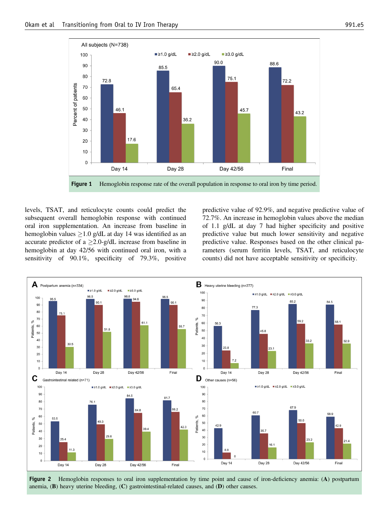<span id="page-4-0"></span>

**Figure 1** Hemoglobin response rate of the overall population in response to oral iron by time period.

levels, TSAT, and reticulocyte counts could predict the subsequent overall hemoglobin response with continued oral iron supplementation. An increase from baseline in hemoglobin values  $\geq 1.0$  g/dL at day 14 was identified as an accurate predictor of a  $\geq$ 2.0-g/dL increase from baseline in hemoglobin at day 42/56 with continued oral iron, with a sensitivity of 90.1%, specificity of 79.3%, positive predictive value of 92.9%, and negative predictive value of 72.7%. An increase in hemoglobin values above the median of 1.1 g/dL at day 7 had higher specificity and positive predictive value but much lower sensitivity and negative predictive value. Responses based on the other clinical parameters (serum ferritin levels, TSAT, and reticulocyte counts) did not have acceptable sensitivity or specificity.



Figure 2 Hemoglobin responses to oral iron supplementation by time point and cause of iron-deficiency anemia: (A) postpartum anemia,  $(B)$  heavy uterine bleeding,  $(C)$  gastrointestinal-related causes, and  $(D)$  other causes.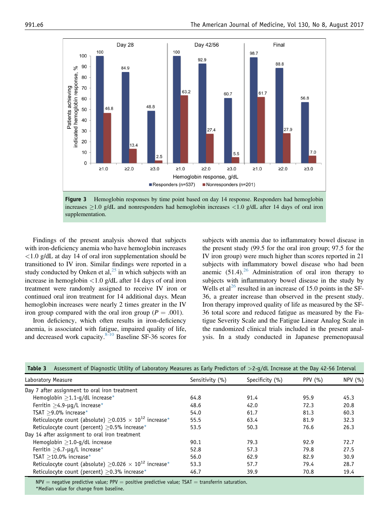<span id="page-5-0"></span>

**Figure 3** Hemoglobin responses by time point based on day 14 response. Responders had hemoglobin increases  $>1.0$  g/dL and nonresponders had hemoglobin increases  $< 1.0$  g/dL after 14 days of oral iron supplementation.

Findings of the present analysis showed that subjects with iron-deficiency anemia who have hemoglobin increases <1.0 g/dL at day 14 of oral iron supplementation should be transitioned to IV iron. Similar findings were reported in a study conducted by Onken et al, $^{25}$  $^{25}$  $^{25}$  in which subjects with an increase in hemoglobin <1.0 g/dL after 14 days of oral iron treatment were randomly assigned to receive IV iron or continued oral iron treatment for 14 additional days. Mean hemoglobin increases were nearly 2 times greater in the IV iron group compared with the oral iron group ( $P = .001$ ).

Iron deficiency, which often results in iron-deficiency anemia, is associated with fatigue, impaired quality of life, and decreased work capacity. $8\overline{10}$  Baseline SF-36 scores for subjects with anemia due to inflammatory bowel disease in the present study (99.5 for the oral iron group; 97.5 for the IV iron group) were much higher than scores reported in 21 subjects with inflammatory bowel disease who had been anemic  $(51.4)$ .<sup>[26](#page-7-0)</sup> Administration of oral iron therapy to subjects with inflammatory bowel disease in the study by Wells et al<sup>[26](#page-7-0)</sup> resulted in an increase of 15.0 points in the SF-36, a greater increase than observed in the present study. Iron therapy improved quality of life as measured by the SF-36 total score and reduced fatigue as measured by the Fatigue Severity Scale and the Fatigue Linear Analog Scale in the randomized clinical trials included in the present analysis. In a study conducted in Japanese premenopausal

| Assessment of Diagnostic Utility of Laboratory Measures as Early Predictors of $>2-q/dL$ Increase at the Day 42-56 Interval<br>Table 3 |                 |                 |            |        |  |
|----------------------------------------------------------------------------------------------------------------------------------------|-----------------|-----------------|------------|--------|--|
| Laboratory Measure                                                                                                                     | Sensitivity (%) | Specificity (%) | PPV $(% )$ | NPV(%) |  |
| Day 7 after assignment to oral iron treatment                                                                                          |                 |                 |            |        |  |
| Hemoglobin $>1.1-q/dL$ increase*                                                                                                       | 64.8            | 91.4            | 95.9       | 45.3   |  |
| Ferritin $\geq$ 4.9-µg/L increase*                                                                                                     | 48.6            | 42.0            | 72.3       | 20.8   |  |
| TSAT $>$ 9.0% increase*                                                                                                                | 54.0            | 61.7            | 81.3       | 60.3   |  |
| Reticulocyte count (absolute) $\geq$ 0.035 $\times$ 10 <sup>12</sup> increase <sup>*</sup>                                             | 55.5            | 63.4            | 81.9       | 32.3   |  |
| Reticulocyte count (percent) $\geq$ 0.5% increase*                                                                                     | 53.5            | 50.3            | 76.6       | 26.3   |  |
| Day 14 after assignment to oral iron treatment                                                                                         |                 |                 |            |        |  |
| Hemoglobin $>1.0$ -g/dL increase                                                                                                       | 90.1            | 79.3            | 92.9       | 72.7   |  |
| Ferritin $>6.7$ - $\mu$ g/L increase*                                                                                                  | 52.8            | 57.3            | 79.8       | 27.5   |  |
| TSAT $>$ 10.0% increase*                                                                                                               | 56.0            | 62.9            | 82.9       | 30.9   |  |
| Reticulocyte count (absolute) $\geq$ 0.026 $\times$ 10 <sup>12</sup> increase <sup>*</sup>                                             | 53.3            | 57.7            | 79.4       | 28.7   |  |
| Reticulocyte count (percent) $\geq$ 0.3% increase*                                                                                     | 46.7            | 39.9            | 70.8       | 19.4   |  |

 $NPV =$  negative predictive value; PPV = positive predictive value; TSAT = transferrin saturation. \*Median value for change from baseline.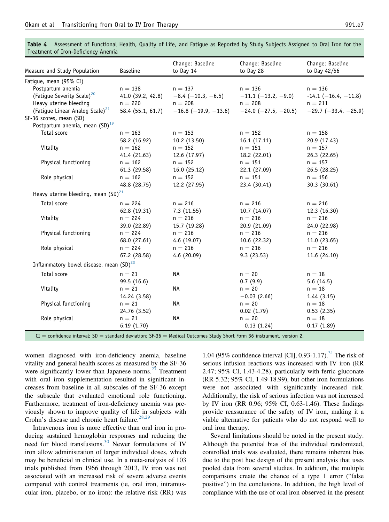<span id="page-6-0"></span>Table 4 Assessment of Functional Health, Quality of Life, and Fatigue as Reported by Study Subjects Assigned to Oral Iron for the Treatment of Iron-Deficiency Anemia

| Measure and Study Population                                                                                                                                         | <b>Baseline</b>          | Change: Baseline<br>to Day 14                 | Change: Baseline<br>to Day 28 | Change: Baseline<br>to Day $42/56$ |
|----------------------------------------------------------------------------------------------------------------------------------------------------------------------|--------------------------|-----------------------------------------------|-------------------------------|------------------------------------|
| Fatigue, mean (95% CI)                                                                                                                                               |                          |                                               |                               |                                    |
| Postpartum anemia                                                                                                                                                    | $n = 138$                | $n = 137$                                     | $n = 136$                     | $n = 136$                          |
| (Fatigue Severity Scale) <sup>20</sup>                                                                                                                               |                          | 41.0 (39.2, 42.8) $-8.4$ ( $-10.3$ , $-6.5$ ) | $-11.1$ ( $-13.2, -9.0$ )     | $-14.1$ (-16.4, -11.8)             |
| Heavy uterine bleeding                                                                                                                                               | $n = 220$                | $n = 208$                                     | $n = 208$                     | $n = 211$                          |
| (Fatigue Linear Analog Scale) <sup>21</sup>                                                                                                                          |                          | 58.4 (55.1, 61.7) $-16.8$ (-19.9, -13.6)      | $-24.0$ ( $-27.5$ , $-20.5$ ) | $-29.7$ ( $-33.4$ , $-25.9$ )      |
| SF-36 scores, mean (SD)                                                                                                                                              |                          |                                               |                               |                                    |
| Postpartum anemia, mean $(SD)^{19}$                                                                                                                                  |                          |                                               |                               |                                    |
| Total score                                                                                                                                                          | $n = 163$                | $n = 153$                                     | $n = 152$                     | $n = 158$                          |
|                                                                                                                                                                      | 58.2 (16.92)             | 10.2(13.50)                                   | 16.1(17.11)                   | 20.9 (17.43)                       |
| Vitality                                                                                                                                                             | $n = 162$                | $n = 152$                                     | $n = 151$                     | $n = 157$                          |
|                                                                                                                                                                      | 41.4(21.63)              | 12.6(17.97)                                   | 18.2 (22.01)                  | 26.3(22.65)                        |
| Physical functioning                                                                                                                                                 | $n = 162$                | $n = 152$                                     | $n = 151$                     | $n = 157$                          |
|                                                                                                                                                                      | 61.3 (29.58)             | 16.0(25.12)                                   | 22.1 (27.09)                  | 26.5(28.25)                        |
| Role physical                                                                                                                                                        | $n = 162$                | $n = 152$                                     | $n = 151$                     | $n = 156$                          |
|                                                                                                                                                                      | 48.8 (28.75)             | 12.2 (27.95)                                  | 23.4 (30.41)                  | 30.3 (30.61)                       |
| Heavy uterine bleeding, mean $(SD)^{21}$                                                                                                                             |                          |                                               |                               |                                    |
| Total score                                                                                                                                                          | $n = 224$                | $n = 216$                                     | $n = 216$                     | $n = 216$                          |
|                                                                                                                                                                      | 62.8 (19.31)             | 7.3(11.55)                                    | 10.7(14.07)                   | 12.3 (16.30)                       |
| Vitality                                                                                                                                                             | $n = 224$                | $n = 216$                                     | $n = 216$                     | $n = 216$                          |
|                                                                                                                                                                      | 39.0 (22.89)             | 15.7 (19.28)                                  | 20.9 (21.09)                  | 24.0 (22.98)                       |
| Physical functioning                                                                                                                                                 | $n = 224$                | $n = 216$                                     | $n = 216$                     | $n = 216$                          |
|                                                                                                                                                                      | 68.0 (27.61)             | 4.6(19.07)                                    | 10.6(22.32)                   | 11.0(23.65)                        |
| Role physical                                                                                                                                                        | $n = 224$                | $n = 216$                                     | $n = 216$                     | $n = 216$                          |
|                                                                                                                                                                      | 67.2 (28.58)             | 4.6(20.09)                                    | 9.3(23.53)                    | 11.6 (24.10)                       |
| Inflammatory bowel disease, mean (SD) <sup>23</sup>                                                                                                                  |                          |                                               |                               |                                    |
| Total score                                                                                                                                                          | $n = 21$                 | <b>NA</b>                                     | $n = 20$                      | $n = 18$                           |
|                                                                                                                                                                      | 99.5 (16.6)              |                                               | 0.7(9.9)                      | 5.6(14.5)                          |
| Vitality                                                                                                                                                             | $n = 21$                 | <b>NA</b>                                     | $n = 20$                      | $n = 18$                           |
|                                                                                                                                                                      |                          |                                               | $-0.03(2.66)$                 |                                    |
| Physical functioning                                                                                                                                                 | 14.24 (3.58)<br>$n = 21$ | <b>NA</b>                                     | $n = 20$                      | 1.44(3.15)<br>$n = 18$             |
|                                                                                                                                                                      | 24.76 (3.52)             |                                               | 0.02(1.79)                    | 0.53(2.35)                         |
| Role physical                                                                                                                                                        |                          | <b>NA</b>                                     | $n = 20$                      |                                    |
|                                                                                                                                                                      | $n = 21$<br>6.19(1.70)   |                                               | $-0.13(1.24)$                 | $n = 18$<br>0.17(1.89)             |
| $\overline{C}$ confidence interval: $\overline{C}D$ atapdard doviation: $\overline{C}$ $\overline{C}$ as a Modical Outcomes Study Short Ferm 26 instrument version 2 |                          |                                               |                               |                                    |

 $CI =$  confidence interval; SD  $=$  standard deviation; SF-36  $=$  Medical Outcomes Study Short Form 36 instrument, version 2.

women diagnosed with iron-deficiency anemia, baseline vitality and general health scores as measured by the SF-36 were significantly lower than Japanese norms. $27$  Treatment with oral iron supplementation resulted in significant increases from baseline in all subscales of the SF-36 except the subscale that evaluated emotional role functioning. Furthermore, treatment of iron-deficiency anemia was previously shown to improve quality of life in subjects with Crohn's disease and chronic heart failure.<sup>[28,29](#page-7-0)</sup>

Intravenous iron is more effective than oral iron in producing sustained hemoglobin responses and reducing the need for blood transfusions.[30](#page-7-0) Newer formulations of IV iron allow administration of larger individual doses, which may be beneficial in clinical use. In a meta-analysis of 103 trials published from 1966 through 2013, IV iron was not associated with an increased risk of severe adverse events compared with control treatments (ie, oral iron, intramuscular iron, placebo, or no iron): the relative risk (RR) was 1.04 (95% confidence interval [CI], 0.93-1.17).<sup>[31](#page-7-0)</sup> The risk of serious infusion reactions was increased with IV iron (RR 2.47; 95% CI, 1.43-4.28), particularly with ferric gluconate (RR 5.32; 95% CI, 1.49-18.99), but other iron formulations were not associated with significantly increased risk. Additionally, the risk of serious infection was not increased by IV iron (RR 0.96; 95% CI, 0.63-1.46). These findings provide reassurance of the safety of IV iron, making it a viable alternative for patients who do not respond well to oral iron therapy.

Several limitations should be noted in the present study. Although the potential bias of the individual randomized, controlled trials was evaluated, there remains inherent bias due to the post hoc design of the present analysis that uses pooled data from several studies. In addition, the multiple comparisons create the chance of a type 1 error ("false positive") in the conclusions. In addition, the high level of compliance with the use of oral iron observed in the present